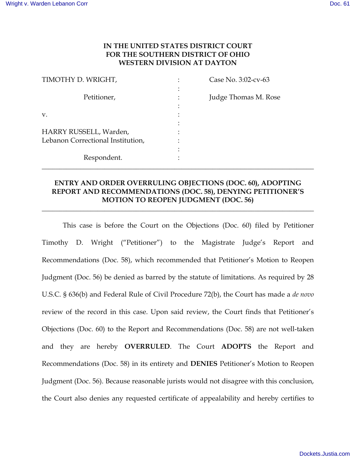## **IN THE UNITED STATES DISTRICT COURT FOR THE SOUTHERN DISTRICT OF OHIO WESTERN DIVISION AT DAYTON**

| TIMOTHY D. WRIGHT,                | Case No. 3:02-cv-63  |
|-----------------------------------|----------------------|
|                                   |                      |
| Petitioner,                       | Judge Thomas M. Rose |
|                                   |                      |
| V.                                |                      |
|                                   |                      |
| HARRY RUSSELL, Warden,            |                      |
| Lebanon Correctional Institution, |                      |
|                                   |                      |
| Respondent.                       |                      |
|                                   |                      |

## **ENTRY AND ORDER OVERRULING OBJECTIONS (DOC. 60), ADOPTING REPORT AND RECOMMENDATIONS (DOC. 58), DENYING PETITIONER'S MOTION TO REOPEN JUDGMENT (DOC. 56)**

**\_\_\_\_\_\_\_\_\_\_\_\_\_\_\_\_\_\_\_\_\_\_\_\_\_\_\_\_\_\_\_\_\_\_\_\_\_\_\_\_\_\_\_\_\_\_\_\_\_\_\_\_\_\_\_\_\_\_\_\_\_\_\_\_\_\_\_\_\_\_\_\_\_\_\_\_\_\_** 

This case is before the Court on the Objections (Doc. 60) filed by Petitioner Timothy D. Wright ("Petitioner") to the Magistrate Judge's Report and Recommendations (Doc. 58), which recommended that Petitioner's Motion to Reopen Judgment (Doc. 56) be denied as barred by the statute of limitations. As required by 28 U.S.C. § 636(b) and Federal Rule of Civil Procedure 72(b), the Court has made a *de novo* review of the record in this case. Upon said review, the Court finds that Petitioner's Objections (Doc. 60) to the Report and Recommendations (Doc. 58) are not well-taken and they are hereby **OVERRULED**. The Court **ADOPTS** the Report and Recommendations (Doc. 58) in its entirety and **DENIES** Petitioner's Motion to Reopen Judgment (Doc. 56). Because reasonable jurists would not disagree with this conclusion, the Court also denies any requested certificate of appealability and hereby certifies to